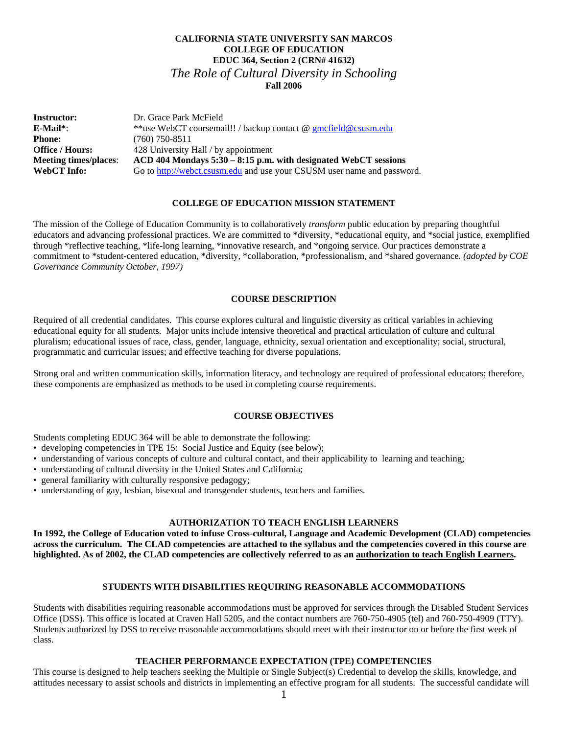# **CALIFORNIA STATE UNIVERSITY SAN MARCOS COLLEGE OF EDUCATION EDUC 364, Section 2 (CRN# 41632)**  *The Role of Cultural Diversity in Schooling*  **Fall 2006**

| <b>Instructor:</b>           | Dr. Grace Park McField                                                  |
|------------------------------|-------------------------------------------------------------------------|
| E-Mail*:                     | **use WebCT coursemail!! / backup contact @ gmcfield@csusm.edu          |
| <b>Phone:</b>                | $(760)$ 750-8511                                                        |
| <b>Office / Hours:</b>       | 428 University Hall / by appointment                                    |
| <b>Meeting times/places:</b> | $ACD$ 404 Mondays 5:30 – 8:15 p.m. with designated WebCT sessions       |
| WebCT Info:                  | Go to http://webct.csusm.edu and use your CSUSM user name and password. |

### **COLLEGE OF EDUCATION MISSION STATEMENT**

The mission of the College of Education Community is to collaboratively *transform* public education by preparing thoughtful educators and advancing professional practices. We are committed to \*diversity, \*educational equity, and \*social justice, exemplified through \*reflective teaching, \*life-long learning, \*innovative research, and \*ongoing service. Our practices demonstrate a commitment to \*student-centered education, \*diversity, \*collaboration, \*professionalism, and \*shared governance. *(adopted by COE Governance Community October, 1997)* 

## **COURSE DESCRIPTION**

Required of all credential candidates. This course explores cultural and linguistic diversity as critical variables in achieving educational equity for all students. Major units include intensive theoretical and practical articulation of culture and cultural pluralism; educational issues of race, class, gender, language, ethnicity, sexual orientation and exceptionality; social, structural, programmatic and curricular issues; and effective teaching for diverse populations.

Strong oral and written communication skills, information literacy, and technology are required of professional educators; therefore, these components are emphasized as methods to be used in completing course requirements.

### **COURSE OBJECTIVES**

Students completing EDUC 364 will be able to demonstrate the following:

- developing competencies in TPE 15: Social Justice and Equity (see below);
- understanding of various concepts of culture and cultural contact, and their applicability to learning and teaching;
- understanding of cultural diversity in the United States and California;
- general familiarity with culturally responsive pedagogy;
- understanding of gay, lesbian, bisexual and transgender students, teachers and families.

# **AUTHORIZATION TO TEACH ENGLISH LEARNERS**

**In 1992, the College of Education voted to infuse Cross-cultural, Language and Academic Development (CLAD) competencies across the curriculum. The CLAD competencies are attached to the syllabus and the competencies covered in this course are highlighted. As of 2002, the CLAD competencies are collectively referred to as an authorization to teach English Learners.** 

# **STUDENTS WITH DISABILITIES REQUIRING REASONABLE ACCOMMODATIONS**

Students with disabilities requiring reasonable accommodations must be approved for services through the Disabled Student Services Office (DSS). This office is located at Craven Hall 5205, and the contact numbers are 760-750-4905 (tel) and 760-750-4909 (TTY). Students authorized by DSS to receive reasonable accommodations should meet with their instructor on or before the first week of class.

### **TEACHER PERFORMANCE EXPECTATION (TPE) COMPETENCIES**

This course is designed to help teachers seeking the Multiple or Single Subject(s) Credential to develop the skills, knowledge, and attitudes necessary to assist schools and districts in implementing an effective program for all students. The successful candidate will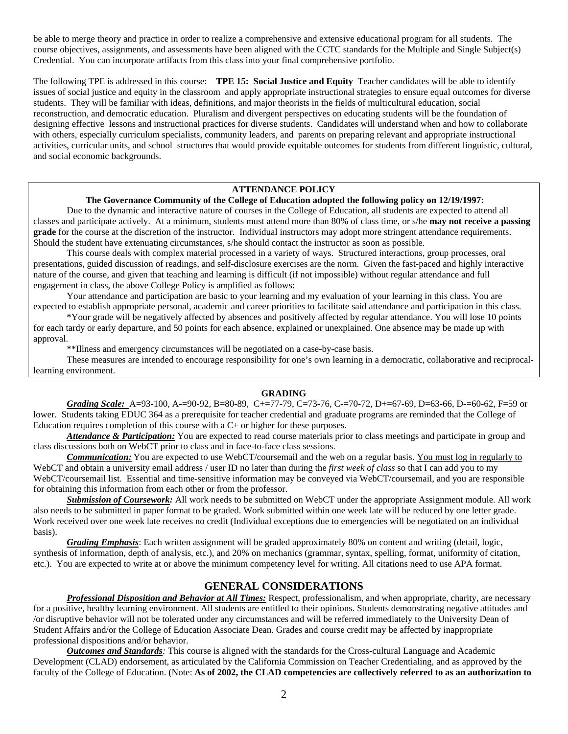be able to merge theory and practice in order to realize a comprehensive and extensive educational program for all students. The course objectives, assignments, and assessments have been aligned with the CCTC standards for the Multiple and Single Subject(s) Credential. You can incorporate artifacts from this class into your final comprehensive portfolio.

The following TPE is addressed in this course: **TPE 15: Social Justice and Equity** Teacher candidates will be able to identify issues of social justice and equity in the classroom and apply appropriate instructional strategies to ensure equal outcomes for diverse students. They will be familiar with ideas, definitions, and major theorists in the fields of multicultural education, social reconstruction, and democratic education. Pluralism and divergent perspectives on educating students will be the foundation of designing effective lessons and instructional practices for diverse students. Candidates will understand when and how to collaborate with others, especially curriculum specialists, community leaders, and parents on preparing relevant and appropriate instructional activities, curricular units, and school structures that would provide equitable outcomes for students from different linguistic, cultural, and social economic backgrounds.

## **ATTENDANCE POLICY**

# **The Governance Community of the College of Education adopted the following policy on 12/19/1997:**

 Due to the dynamic and interactive nature of courses in the College of Education, all students are expected to attend all classes and participate actively. At a minimum, students must attend more than 80% of class time, or s/he **may not receive a passing grade** for the course at the discretion of the instructor. Individual instructors may adopt more stringent attendance requirements. Should the student have extenuating circumstances, s/he should contact the instructor as soon as possible.

 This course deals with complex material processed in a variety of ways. Structured interactions, group processes, oral presentations, guided discussion of readings, and self-disclosure exercises are the norm. Given the fast-paced and highly interactive nature of the course, and given that teaching and learning is difficult (if not impossible) without regular attendance and full engagement in class, the above College Policy is amplified as follows:

 Your attendance and participation are basic to your learning and my evaluation of your learning in this class. You are expected to establish appropriate personal, academic and career priorities to facilitate said attendance and participation in this class.

 \*Your grade will be negatively affected by absences and positively affected by regular attendance. You will lose 10 points for each tardy or early departure, and 50 points for each absence, explained or unexplained. One absence may be made up with approval.

\*\*Illness and emergency circumstances will be negotiated on a case-by-case basis.

These measures are intended to encourage responsibility for one's own learning in a democratic, collaborative and reciprocallearning environment.

#### **GRADING**

*Grading Scale:* A=93-100, A-=90-92, B=80-89, C+=77-79, C=73-76, C-=70-72, D+=67-69, D=63-66, D-=60-62, F=59 or lower. Students taking EDUC 364 as a prerequisite for teacher credential and graduate programs are reminded that the College of Education requires completion of this course with a C+ or higher for these purposes.

*Attendance & Participation:* You are expected to read course materials prior to class meetings and participate in group and class discussions both on WebCT prior to class and in face-to-face class sessions.

*Communication:* You are expected to use WebCT/coursemail and the web on a regular basis. You must log in regularly to WebCT and obtain a university email address / user ID no later than during the *first week of class* so that I can add you to my WebCT/coursemail list. Essential and time-sensitive information may be conveyed via WebCT/coursemail, and you are responsible for obtaining this information from each other or from the professor.

 *Submission of Coursework:* All work needs to be submitted on WebCT under the appropriate Assignment module. All work also needs to be submitted in paper format to be graded. Work submitted within one week late will be reduced by one letter grade. Work received over one week late receives no credit (Individual exceptions due to emergencies will be negotiated on an individual basis).

*Grading Emphasis*: Each written assignment will be graded approximately 80% on content and writing (detail, logic, synthesis of information, depth of analysis, etc.), and 20% on mechanics (grammar, syntax, spelling, format, uniformity of citation, etc.). You are expected to write at or above the minimum competency level for writing. All citations need to use APA format.

# **GENERAL CONSIDERATIONS**

*Professional Disposition and Behavior at All Times:* Respect, professionalism, and when appropriate, charity, are necessary for a positive, healthy learning environment. All students are entitled to their opinions. Students demonstrating negative attitudes and /or disruptive behavior will not be tolerated under any circumstances and will be referred immediately to the University Dean of Student Affairs and/or the College of Education Associate Dean. Grades and course credit may be affected by inappropriate professional dispositions and/or behavior.

*Outcomes and Standards:* This course is aligned with the standards for the Cross-cultural Language and Academic Development (CLAD) endorsement, as articulated by the California Commission on Teacher Credentialing, and as approved by the faculty of the College of Education. (Note: **As of 2002, the CLAD competencies are collectively referred to as an authorization to**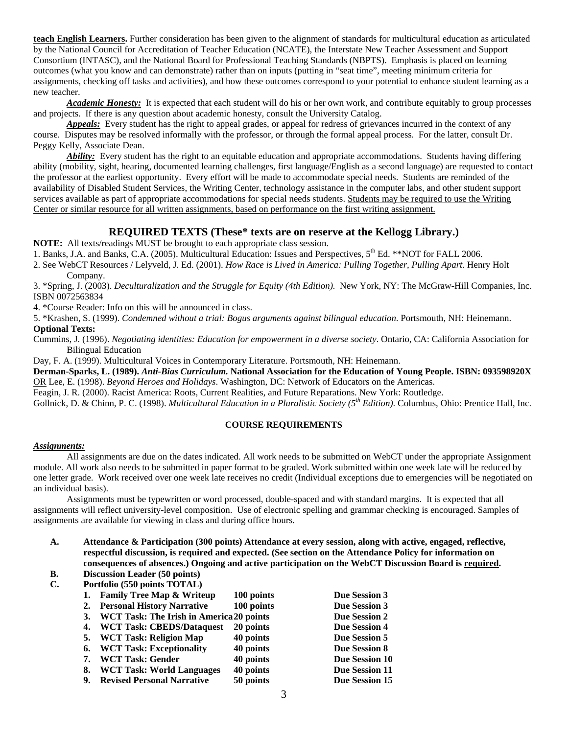**teach English Learners.** Further consideration has been given to the alignment of standards for multicultural education as articulated by the National Council for Accreditation of Teacher Education (NCATE), the Interstate New Teacher Assessment and Support Consortium (INTASC), and the National Board for Professional Teaching Standards (NBPTS). Emphasis is placed on learning outcomes (what you know and can demonstrate) rather than on inputs (putting in "seat time", meeting minimum criteria for assignments, checking off tasks and activities), and how these outcomes correspond to your potential to enhance student learning as a new teacher.

*Academic Honesty:* It is expected that each student will do his or her own work, and contribute equitably to group processes and projects. If there is any question about academic honesty, consult the University Catalog.

*Appeals:* Every student has the right to appeal grades, or appeal for redress of grievances incurred in the context of any course. Disputes may be resolved informally with the professor, or through the formal appeal process. For the latter, consult Dr. Peggy Kelly, Associate Dean.

*Ability:* Every student has the right to an equitable education and appropriate accommodations. Students having differing ability (mobility, sight, hearing, documented learning challenges, first language/English as a second language) are requested to contact the professor at the earliest opportunity. Every effort will be made to accommodate special needs. Students are reminded of the availability of Disabled Student Services, the Writing Center, technology assistance in the computer labs, and other student support services available as part of appropriate accommodations for special needs students. Students may be required to use the Writing Center or similar resource for all written assignments, based on performance on the first writing assignment.

# **REQUIRED TEXTS (These\* texts are on reserve at the Kellogg Library.)**

**NOTE:** All texts/readings MUST be brought to each appropriate class session.

1. Banks, J.A. and Banks, C.A. (2005). Multicultural Education: Issues and Perspectives, 5<sup>th</sup> Ed. \*\*NOT for FALL 2006.

2. See WebCT Resources / Lelyveld, J. Ed. (2001). *How Race is Lived in America: Pulling Together, Pulling Apart*. Henry Holt Company.

3. \*Spring, J. (2003). *Deculturalization and the Struggle for Equity (4th Edition).* New York, NY: The McGraw-Hill Companies, Inc. ISBN 0072563834

4. \*Course Reader: Info on this will be announced in class.

5. \*Krashen, S. (1999). *Condemned without a trial: Bogus arguments against bilingual education*. Portsmouth, NH: Heinemann. **Optional Texts:** 

Cummins, J. (1996). *Negotiating identities: Education for empowerment in a diverse society*. Ontario, CA: California Association for Bilingual Education

Day, F. A. (1999). Multicultural Voices in Contemporary Literature. Portsmouth, NH: Heinemann.

**Derman-Sparks, L. (1989).** *Anti-Bias Curriculum.* **National Association for the Education of Young People. ISBN: 093598920X**  OR Lee, E. (1998). *Beyond Heroes and Holidays*. Washington, DC: Network of Educators on the Americas.

Feagin, J. R. (2000). Racist America: Roots, Current Realities, and Future Reparations. New York: Routledge.

Gollnick, D. & Chinn, P. C. (1998). *Multicultural Education in a Pluralistic Society (5th Edition)*. Columbus, Ohio: Prentice Hall, Inc.

# **COURSE REQUIREMENTS**

# *Assignments:*

 All assignments are due on the dates indicated. All work needs to be submitted on WebCT under the appropriate Assignment module. All work also needs to be submitted in paper format to be graded. Work submitted within one week late will be reduced by one letter grade. Work received over one week late receives no credit (Individual exceptions due to emergencies will be negotiated on an individual basis).

Assignments must be typewritten or word processed, double-spaced and with standard margins. It is expected that all assignments will reflect university-level composition. Use of electronic spelling and grammar checking is encouraged. Samples of assignments are available for viewing in class and during office hours.

- **A. Attendance & Participation (300 points) Attendance at every session, along with active, engaged, reflective, respectful discussion, is required and expected. (See section on the Attendance Policy for information on consequences of absences.) Ongoing and active participation on the WebCT Discussion Board is required.**
- **B. Discussion Leader (50 points)**
- **C. Portfolio (550 points TOTAL)**

| 1. | <b>Family Tree Map &amp; Writeup</b>            | 100 points | Due Session 3         |  |
|----|-------------------------------------------------|------------|-----------------------|--|
| 2. | <b>Personal History Narrative</b>               | 100 points | Due Session 3         |  |
| 3. | <b>WCT Task: The Irish in America 20 points</b> |            | Due Session 2         |  |
| 4. | <b>WCT Task: CBEDS/Dataquest</b>                | 20 points  | Due Session 4         |  |
| 5. | <b>WCT Task: Religion Map</b>                   | 40 points  | Due Session 5         |  |
| 6. | <b>WCT Task: Exceptionality</b>                 | 40 points  | <b>Due Session 8</b>  |  |
| 7. | <b>WCT Task: Gender</b>                         | 40 points  | Due Session 10        |  |
| 8. | <b>WCT Task: World Languages</b>                | 40 points  | <b>Due Session 11</b> |  |
| 9. | <b>Revised Personal Narrative</b>               | 50 points  | Due Session 15        |  |
|    |                                                 |            |                       |  |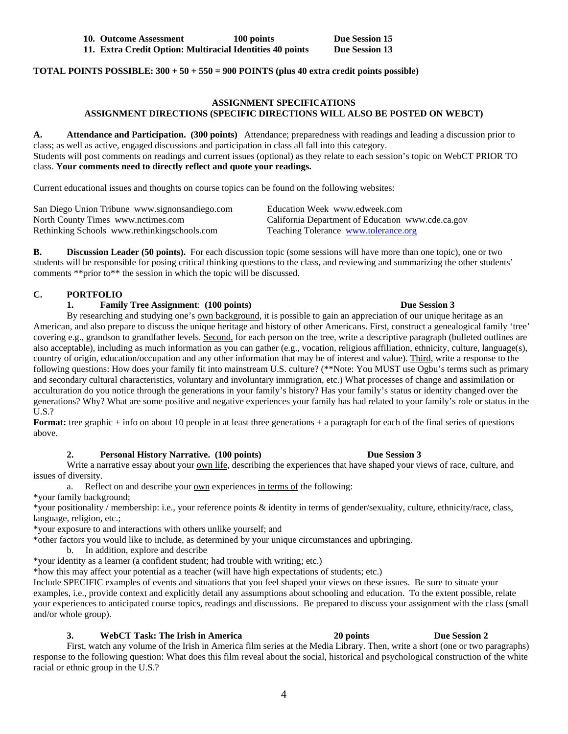**TOTAL POINTS POSSIBLE: 300 + 50 + 550 = 900 POINTS (plus 40 extra credit points possible)** 

# **ASSIGNMENT SPECIFICATIONS ASSIGNMENT DIRECTIONS (SPECIFIC DIRECTIONS WILL ALSO BE POSTED ON WEBCT)**

**A. Attendance and Participation. (300 points)** Attendance; preparedness with readings and leading a discussion prior to class; as well as active, engaged discussions and participation in class all fall into this category.

Students will post comments on readings and current issues (optional) as they relate to each session's topic on WebCT PRIOR TO class. **Your comments need to directly reflect and quote your readings.**

Current educational issues and thoughts on course topics can be found on the following websites:

| San Diego Union Tribune www.signonsandiego.com | Education Week www.edweek.com                     |
|------------------------------------------------|---------------------------------------------------|
| North County Times www.nctimes.com             | California Department of Education www.cde.ca.gov |
| Rethinking Schools www.rethinkingschools.com   | Teaching Tolerance www.tolerance.org              |

**B. Discussion Leader (50 points).** For each discussion topic (some sessions will have more than one topic), one or two students will be responsible for posing critical thinking questions to the class, and reviewing and summarizing the other students' comments \*\*prior to\*\* the session in which the topic will be discussed.

# **C. PORTFOLIO**

## **1. Family Tree Assignment**: **(100 points) Due Session 3**

By researching and studying one's own background, it is possible to gain an appreciation of our unique heritage as an American, and also prepare to discuss the unique heritage and history of other Americans. First, construct a genealogical family 'tree' covering e.g., grandson to grandfather levels. Second, for each person on the tree, write a descriptive paragraph (bulleted outlines are also acceptable), including as much information as you can gather (e.g., vocation, religious affiliation, ethnicity, culture, language(s), country of origin, education/occupation and any other information that may be of interest and value). Third, write a response to the following questions: How does your family fit into mainstream U.S. culture? (\*\*Note: You MUST use Ogbu's terms such as primary and secondary cultural characteristics, voluntary and involuntary immigration, etc.) What processes of change and assimilation or acculturation do you notice through the generations in your family's history? Has your family's status or identity changed over the generations? Why? What are some positive and negative experiences your family has had related to your family's role or status in the U.S.?

**Format:** tree graphic + info on about 10 people in at least three generations + a paragraph for each of the final series of questions above.

### **2. Personal History Narrative. (100 points) Due Session 3**

Write a narrative essay about your own life, describing the experiences that have shaped your views of race, culture, and issues of diversity.

a. Reflect on and describe your own experiences in terms of the following:

\*your family background;

\*your positionality / membership: i.e., your reference points & identity in terms of gender/sexuality, culture, ethnicity/race, class, language, religion, etc.;

\*your exposure to and interactions with others unlike yourself; and

\*other factors you would like to include, as determined by your unique circumstances and upbringing.

b. In addition, explore and describe

\*your identity as a learner (a confident student; had trouble with writing; etc.)

\*how this may affect your potential as a teacher (will have high expectations of students; etc.)

Include SPECIFIC examples of events and situations that you feel shaped your views on these issues. Be sure to situate your examples, i.e., provide context and explicitly detail any assumptions about schooling and education. To the extent possible, relate your experiences to anticipated course topics, readings and discussions. Be prepared to discuss your assignment with the class (small and/or whole group).

## **3. WebCT Task: The Irish in America 20 points Due Session 2**

First, watch any volume of the Irish in America film series at the Media Library. Then, write a short (one or two paragraphs) response to the following question: What does this film reveal about the social, historical and psychological construction of the white racial or ethnic group in the U.S.?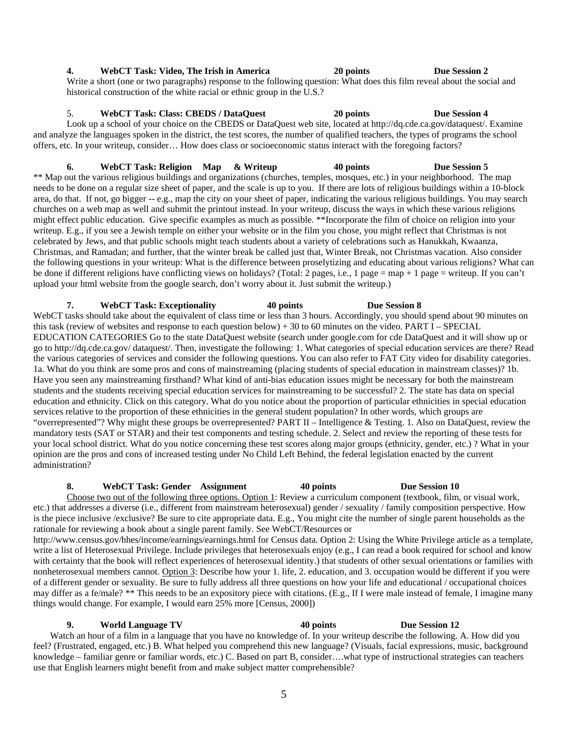# 5

### **4. WebCT Task: Video, The Irish in America 20 points Due Session 2**

Write a short (one or two paragraphs) response to the following question: What does this film reveal about the social and historical construction of the white racial or ethnic group in the U.S.?

# 5. **WebCT Task: Class: CBEDS / DataQuest 20 points Due Session 4**

Look up a school of your choice on the CBEDS or DataQuest web site, located at http://dq.cde.ca.gov/dataquest/. Examine and analyze the languages spoken in the district, the test scores, the number of qualified teachers, the types of programs the school offers, etc. In your writeup, consider… How does class or socioeconomic status interact with the foregoing factors?

# **6. WebCT Task: Religion Map & Writeup 40 points Due Session 5**

\*\* Map out the various religious buildings and organizations (churches, temples, mosques, etc.) in your neighborhood. The map needs to be done on a regular size sheet of paper, and the scale is up to you. If there are lots of religious buildings within a 10-block area, do that. If not, go bigger -- e.g., map the city on your sheet of paper, indicating the various religious buildings. You may search churches on a web map as well and submit the printout instead. In your writeup, discuss the ways in which these various religions might effect public education. Give specific examples as much as possible. \*\*Incorporate the film of choice on religion into your writeup. E.g., if you see a Jewish temple on either your website or in the film you chose, you might reflect that Christmas is not celebrated by Jews, and that public schools might teach students about a variety of celebrations such as Hanukkah, Kwaanza, Christmas, and Ramadan; and further, that the winter break be called just that, Winter Break, not Christmas vacation. Also consider the following questions in your writeup: What is the difference between proselytizing and educating about various religions? What can be done if different religions have conflicting views on holidays? (Total: 2 pages, i.e., 1 page = map + 1 page = writeup. If you can't upload your html website from the google search, don't worry about it. Just submit the writeup.)

**7. WebCT Task: Exceptionality 40 points Due Session 8**  WebCT tasks should take about the equivalent of class time or less than 3 hours. Accordingly, you should spend about 90 minutes on this task (review of websites and response to each question below) + 30 to 60 minutes on the video. PART  $I$  – SPECIAL EDUCATION CATEGORIES Go to the state DataQuest website (search under google.com for cde DataQuest and it will show up or go to http://dq.cde.ca.gov/ dataquest/. Then, investigate the following: 1. What categories of special education services are there? Read the various categories of services and consider the following questions. You can also refer to FAT City video for disability categories. 1a. What do you think are some pros and cons of mainstreaming (placing students of special education in mainstream classes)? 1b. Have you seen any mainstreaming firsthand? What kind of anti-bias education issues might be necessary for both the mainstream students and the students receiving special education services for mainstreaming to be successful? 2. The state has data on special education and ethnicity. Click on this category. What do you notice about the proportion of particular ethnicities in special education services relative to the proportion of these ethnicities in the general student population? In other words, which groups are "overrepresented"? Why might these groups be overrepresented? PART II – Intelligence & Testing. 1. Also on DataQuest, review the mandatory tests (SAT or STAR) and their test components and testing schedule. 2. Select and review the reporting of these tests for your local school district. What do you notice concerning these test scores along major groups (ethnicity, gender, etc.) ? What in your opinion are the pros and cons of increased testing under No Child Left Behind, the federal legislation enacted by the current administration?

### **8. WebCT Task: Gender Assignment 40 points Due Session 10**

Choose two out of the following three options. Option 1: Review a curriculum component (textbook, film, or visual work, etc.) that addresses a diverse (i.e., different from mainstream heterosexual) gender / sexuality / family composition perspective. How is the piece inclusive /exclusive? Be sure to cite appropriate data. E.g., You might cite the number of single parent households as the rationale for reviewing a book about a single parent family. See WebCT/Resources or

http://www.census.gov/hhes/income/earnings/earnings.html for Census data. Option 2: Using the White Privilege article as a template, write a list of Heterosexual Privilege. Include privileges that heterosexuals enjoy (e.g., I can read a book required for school and know with certainty that the book will reflect experiences of heterosexual identity.) that students of other sexual orientations or families with nonheterosexual members cannot. Option 3: Describe how your 1. life, 2. education, and 3. occupation would be different if you were of a different gender or sexuality. Be sure to fully address all three questions on how your life and educational / occupational choices may differ as a fe/male? \*\* This needs to be an expository piece with citations. (E.g., If I were male instead of female, I imagine many things would change. For example, I would earn 25% more [Census, 2000])

**9. World Language TV 40 points Due Session 12**  Watch an hour of a film in a language that you have no knowledge of. In your writeup describe the following. A. How did you feel? (Frustrated, engaged, etc.) B. What helped you comprehend this new language? (Visuals, facial expressions, music, background knowledge – familiar genre or familiar words, etc.) C. Based on part B, consider….what type of instructional strategies can teachers use that English learners might benefit from and make subject matter comprehensible?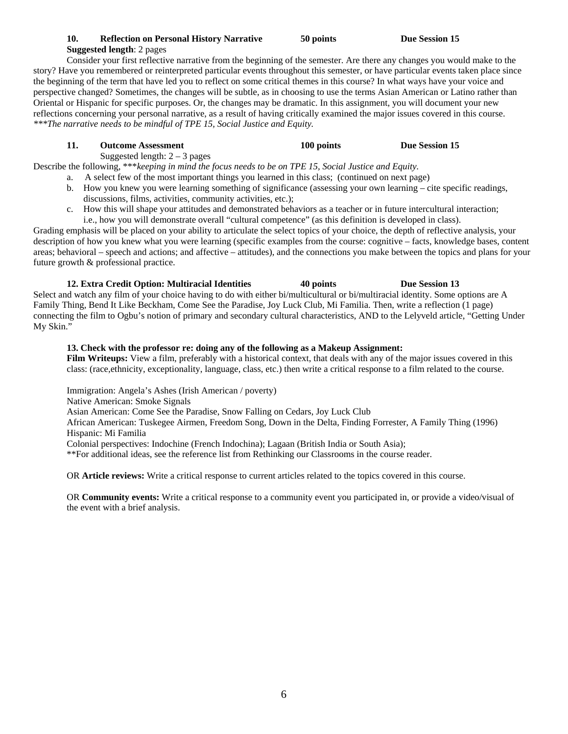# **10. Reflection on Personal History Narrative 50 points Due Session 15 Suggested length**: 2 pages

 Consider your first reflective narrative from the beginning of the semester. Are there any changes you would make to the story? Have you remembered or reinterpreted particular events throughout this semester, or have particular events taken place since the beginning of the term that have led you to reflect on some critical themes in this course? In what ways have your voice and perspective changed? Sometimes, the changes will be subtle, as in choosing to use the terms Asian American or Latino rather than Oriental or Hispanic for specific purposes. Or, the changes may be dramatic. In this assignment, you will document your new reflections concerning your personal narrative, as a result of having critically examined the major issues covered in this course. *\*\*\*The narrative needs to be mindful of TPE 15, Social Justice and Equity.* 

# **11. Outcome Assessment 100 points Due Session 15**

Suggested length:  $2 - 3$  pages

Describe the following, \*\*\**keeping in mind the focus needs to be on TPE 15, Social Justice and Equity.*

- a. A select few of the most important things you learned in this class; (continued on next page)
- b. How you knew you were learning something of significance (assessing your own learning cite specific readings, discussions, films, activities, community activities, etc.);
- c. How this will shape your attitudes and demonstrated behaviors as a teacher or in future intercultural interaction; i.e., how you will demonstrate overall "cultural competence" (as this definition is developed in class).

Grading emphasis will be placed on your ability to articulate the select topics of your choice, the depth of reflective analysis, your description of how you knew what you were learning (specific examples from the course: cognitive – facts, knowledge bases, content areas; behavioral – speech and actions; and affective – attitudes), and the connections you make between the topics and plans for your future growth & professional practice.

**12. Extra Credit Option: Multiracial Identities 40 points Due Session 13**  Select and watch any film of your choice having to do with either bi/multicultural or bi/multiracial identity. Some options are A Family Thing, Bend It Like Beckham, Come See the Paradise, Joy Luck Club, Mi Familia. Then, write a reflection (1 page) connecting the film to Ogbu's notion of primary and secondary cultural characteristics, AND to the Lelyveld article, "Getting Under My Skin."

# **13. Check with the professor re: doing any of the following as a Makeup Assignment:**

**Film Writeups:** View a film, preferably with a historical context, that deals with any of the major issues covered in this class: (race,ethnicity, exceptionality, language, class, etc.) then write a critical response to a film related to the course.

 Immigration: Angela's Ashes (Irish American / poverty) Native American: Smoke Signals Asian American: Come See the Paradise, Snow Falling on Cedars, Joy Luck Club African American: Tuskegee Airmen, Freedom Song, Down in the Delta, Finding Forrester, A Family Thing (1996) Hispanic: Mi Familia Colonial perspectives: Indochine (French Indochina); Lagaan (British India or South Asia); \*\*For additional ideas, see the reference list from Rethinking our Classrooms in the course reader.

OR **Article reviews:** Write a critical response to current articles related to the topics covered in this course.

 OR **Community events:** Write a critical response to a community event you participated in, or provide a video/visual of the event with a brief analysis.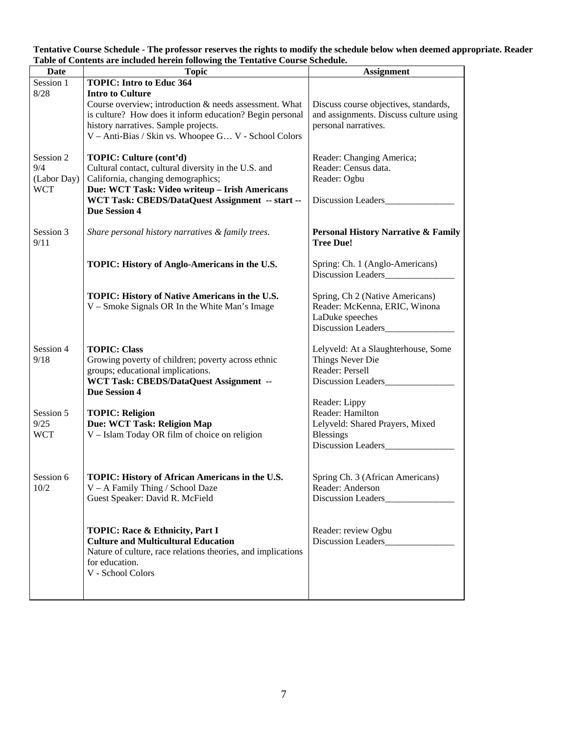**Tentative Course Schedule - The professor reserves the rights to modify the schedule below when deemed appropriate. Reader Table of Contents are included herein following the Tentative Course Schedule.** 

| <b>Date</b> | <b>Topic</b>                                                 | <b>Assignment</b>                              |
|-------------|--------------------------------------------------------------|------------------------------------------------|
| Session 1   | <b>TOPIC: Intro to Educ 364</b>                              |                                                |
| 8/28        | <b>Intro to Culture</b>                                      |                                                |
|             | Course overview; introduction & needs assessment. What       | Discuss course objectives, standards,          |
|             | is culture? How does it inform education? Begin personal     | and assignments. Discuss culture using         |
|             | history narratives. Sample projects.                         | personal narratives.                           |
|             | V - Anti-Bias / Skin vs. Whoopee G V - School Colors         |                                                |
|             |                                                              |                                                |
| Session 2   | TOPIC: Culture (cont'd)                                      | Reader: Changing America;                      |
| 9/4         | Cultural contact, cultural diversity in the U.S. and         | Reader: Census data.                           |
| (Labor Day) | California, changing demographics;                           | Reader: Ogbu                                   |
| <b>WCT</b>  | Due: WCT Task: Video writeup - Irish Americans               |                                                |
|             | WCT Task: CBEDS/DataQuest Assignment -- start --             | Discussion Leaders                             |
|             | <b>Due Session 4</b>                                         |                                                |
|             |                                                              |                                                |
| Session 3   | Share personal history narratives & family trees.            | <b>Personal History Narrative &amp; Family</b> |
| 9/11        |                                                              | <b>Tree Due!</b>                               |
|             | TOPIC: History of Anglo-Americans in the U.S.                | Spring: Ch. 1 (Anglo-Americans)                |
|             |                                                              | Discussion Leaders                             |
|             |                                                              |                                                |
|             | TOPIC: History of Native Americans in the U.S.               | Spring, Ch 2 (Native Americans)                |
|             | V – Smoke Signals OR In the White Man's Image                | Reader: McKenna, ERIC, Winona                  |
|             |                                                              | LaDuke speeches                                |
|             |                                                              | <b>Discussion Leaders</b>                      |
|             |                                                              |                                                |
| Session 4   | <b>TOPIC: Class</b>                                          | Lelyveld: At a Slaughterhouse, Some            |
| 9/18        | Growing poverty of children; poverty across ethnic           | Things Never Die                               |
|             | groups; educational implications.                            | Reader: Persell                                |
|             | WCT Task: CBEDS/DataQuest Assignment --                      | Discussion Leaders__________                   |
|             | <b>Due Session 4</b>                                         |                                                |
|             |                                                              | Reader: Lippy                                  |
| Session 5   | <b>TOPIC: Religion</b>                                       | Reader: Hamilton                               |
| 9/25        | Due: WCT Task: Religion Map                                  | Lelyveld: Shared Prayers, Mixed                |
| <b>WCT</b>  | V - Islam Today OR film of choice on religion                | <b>Blessings</b>                               |
|             |                                                              | Discussion Leaders__________                   |
|             |                                                              |                                                |
|             |                                                              |                                                |
| Session 6   | TOPIC: History of African Americans in the U.S.              | Spring Ch. 3 (African Americans)               |
| 10/2        | V - A Family Thing / School Daze                             | Reader: Anderson                               |
|             | Guest Speaker: David R. McField                              | Discussion Leaders                             |
|             |                                                              |                                                |
|             | TOPIC: Race & Ethnicity, Part I                              | Reader: review Ogbu                            |
|             | <b>Culture and Multicultural Education</b>                   | Discussion Leaders                             |
|             | Nature of culture, race relations theories, and implications |                                                |
|             | for education.                                               |                                                |
|             | V - School Colors                                            |                                                |
|             |                                                              |                                                |
|             |                                                              |                                                |
|             |                                                              |                                                |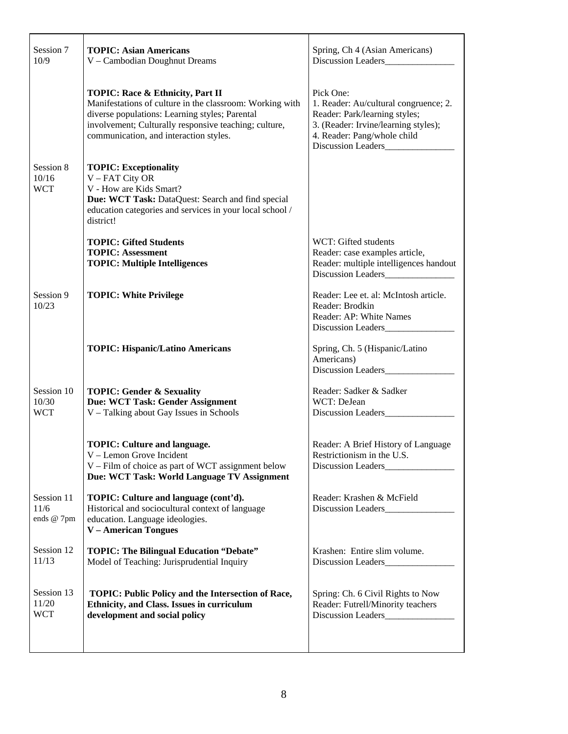| Session 7<br>10/9                 | <b>TOPIC: Asian Americans</b><br>V - Cambodian Doughnut Dreams                                                                                                                                                                                    | Spring, Ch 4 (Asian Americans)<br>Discussion Leaders                                                                                                                             |
|-----------------------------------|---------------------------------------------------------------------------------------------------------------------------------------------------------------------------------------------------------------------------------------------------|----------------------------------------------------------------------------------------------------------------------------------------------------------------------------------|
|                                   | TOPIC: Race & Ethnicity, Part II<br>Manifestations of culture in the classroom: Working with<br>diverse populations: Learning styles; Parental<br>involvement; Culturally responsive teaching; culture,<br>communication, and interaction styles. | Pick One:<br>1. Reader: Au/cultural congruence; 2.<br>Reader: Park/learning styles;<br>3. (Reader: Irvine/learning styles);<br>4. Reader: Pang/whole child<br>Discussion Leaders |
| Session 8<br>10/16<br><b>WCT</b>  | <b>TOPIC: Exceptionality</b><br>V - FAT City OR<br>V - How are Kids Smart?<br>Due: WCT Task: DataQuest: Search and find special<br>education categories and services in your local school /<br>district!                                          |                                                                                                                                                                                  |
|                                   | <b>TOPIC: Gifted Students</b><br><b>TOPIC: Assessment</b><br><b>TOPIC: Multiple Intelligences</b>                                                                                                                                                 | WCT: Gifted students<br>Reader: case examples article,<br>Reader: multiple intelligences handout<br>Discussion Leaders______________                                             |
| Session 9<br>10/23                | <b>TOPIC: White Privilege</b>                                                                                                                                                                                                                     | Reader: Lee et. al: McIntosh article.<br>Reader: Brodkin<br>Reader: AP: White Names                                                                                              |
|                                   | <b>TOPIC: Hispanic/Latino Americans</b>                                                                                                                                                                                                           | Spring, Ch. 5 (Hispanic/Latino<br>Americans)<br>Discussion Leaders                                                                                                               |
| Session 10<br>10/30<br><b>WCT</b> | <b>TOPIC: Gender &amp; Sexuality</b><br>Due: WCT Task: Gender Assignment<br>V - Talking about Gay Issues in Schools                                                                                                                               | Reader: Sadker & Sadker<br>WCT: DeJean                                                                                                                                           |
|                                   | <b>TOPIC: Culture and language.</b><br>V – Lemon Grove Incident<br>V – Film of choice as part of WCT assignment below<br>Due: WCT Task: World Language TV Assignment                                                                              | Reader: A Brief History of Language<br>Restrictionism in the U.S.<br>Discussion Leaders                                                                                          |
| Session 11<br>11/6<br>ends @ 7pm  | TOPIC: Culture and language (cont'd).<br>Historical and sociocultural context of language<br>education. Language ideologies.<br><b>V</b> – American Tongues                                                                                       | Reader: Krashen & McField                                                                                                                                                        |
| Session 12<br>11/13               | <b>TOPIC: The Bilingual Education "Debate"</b><br>Model of Teaching: Jurisprudential Inquiry                                                                                                                                                      | Krashen: Entire slim volume.<br>Discussion Leaders_________                                                                                                                      |
| Session 13<br>11/20<br><b>WCT</b> | TOPIC: Public Policy and the Intersection of Race,<br>Ethnicity, and Class. Issues in curriculum<br>development and social policy                                                                                                                 | Spring: Ch. 6 Civil Rights to Now<br>Reader: Futrell/Minority teachers<br>Discussion Leaders                                                                                     |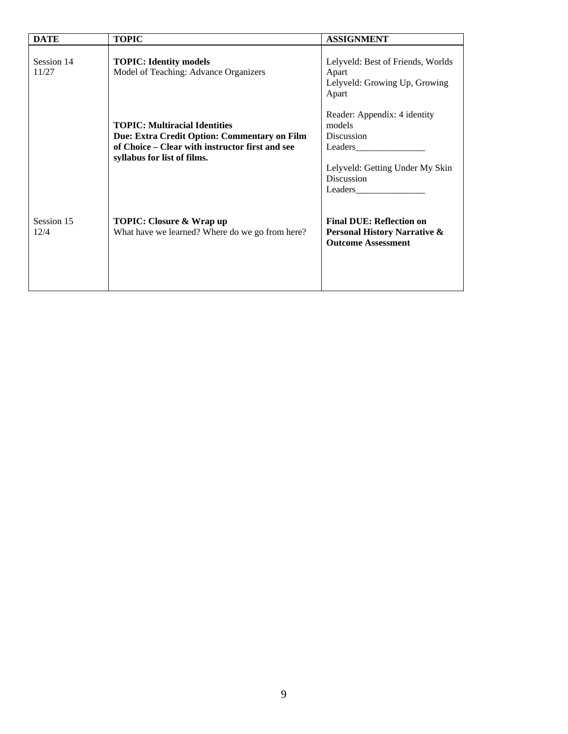| <b>DATE</b>         | <b>TOPIC</b>                                                                                                                                                           | <b>ASSIGNMENT</b>                                                                                                                  |
|---------------------|------------------------------------------------------------------------------------------------------------------------------------------------------------------------|------------------------------------------------------------------------------------------------------------------------------------|
| Session 14<br>11/27 | <b>TOPIC: Identity models</b><br>Model of Teaching: Advance Organizers                                                                                                 | Lelyveld: Best of Friends, Worlds<br>Apart<br>Lelyveld: Growing Up, Growing<br>Apart                                               |
|                     | <b>TOPIC: Multiracial Identities</b><br>Due: Extra Credit Option: Commentary on Film<br>of Choice – Clear with instructor first and see<br>syllabus for list of films. | Reader: Appendix: 4 identity<br>models<br>Discussion<br>Leaders<br>Lelyveld: Getting Under My Skin<br><b>Discussion</b><br>Leaders |
| Session 15<br>12/4  | <b>TOPIC: Closure &amp; Wrap up</b><br>What have we learned? Where do we go from here?                                                                                 | <b>Final DUE: Reflection on</b><br><b>Personal History Narrative &amp;</b><br><b>Outcome Assessment</b>                            |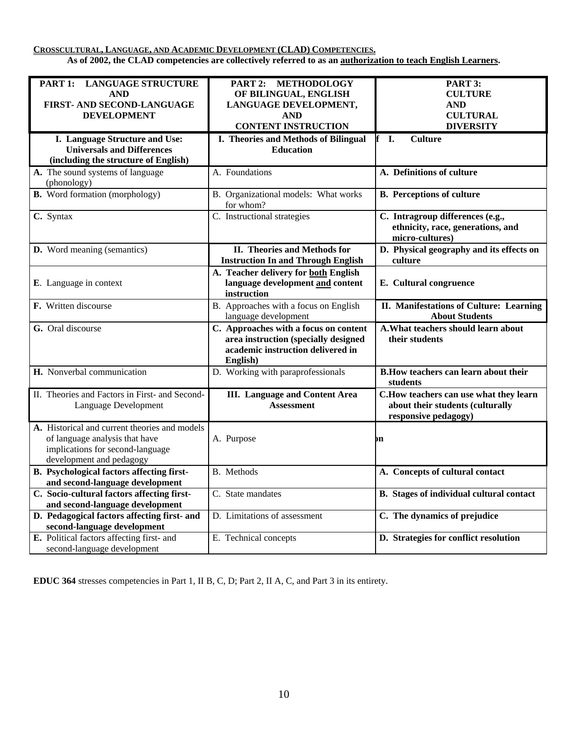**CROSSCULTURAL, LANGUAGE, AND ACADEMIC DEVELOPMENT (CLAD) COMPETENCIES.**

**As of 2002, the CLAD competencies are collectively referred to as an authorization to teach English Learners.**

| PART 1:<br><b>LANGUAGE STRUCTURE</b><br><b>AND</b><br>FIRST- AND SECOND-LANGUAGE<br><b>DEVELOPMENT</b>                                          | <b>METHODOLOGY</b><br>PART 2:<br>OF BILINGUAL, ENGLISH<br>LANGUAGE DEVELOPMENT,<br><b>AND</b><br><b>CONTENT INSTRUCTION</b>    | PART 3:<br><b>CULTURE</b><br><b>AND</b><br><b>CULTURAL</b><br><b>DIVERSITY</b>                      |
|-------------------------------------------------------------------------------------------------------------------------------------------------|--------------------------------------------------------------------------------------------------------------------------------|-----------------------------------------------------------------------------------------------------|
| I. Language Structure and Use:<br><b>Universals and Differences</b><br>(including the structure of English)                                     | I. Theories and Methods of Bilingual<br><b>Education</b>                                                                       | I.<br><b>Culture</b>                                                                                |
| A. The sound systems of language<br>(phonology)                                                                                                 | A. Foundations                                                                                                                 | A. Definitions of culture                                                                           |
| <b>B.</b> Word formation (morphology)                                                                                                           | B. Organizational models: What works<br>for whom?                                                                              | <b>B.</b> Perceptions of culture                                                                    |
| C. Syntax                                                                                                                                       | C. Instructional strategies                                                                                                    | C. Intragroup differences (e.g.,<br>ethnicity, race, generations, and<br>micro-cultures)            |
| D. Word meaning (semantics)                                                                                                                     | II. Theories and Methods for<br><b>Instruction In and Through English</b>                                                      | D. Physical geography and its effects on<br>culture                                                 |
| E. Language in context                                                                                                                          | A. Teacher delivery for both English<br>language development and content<br>instruction                                        | <b>E.</b> Cultural congruence                                                                       |
| F. Written discourse                                                                                                                            | B. Approaches with a focus on English<br>language development                                                                  | II. Manifestations of Culture: Learning<br><b>About Students</b>                                    |
| G. Oral discourse                                                                                                                               | C. Approaches with a focus on content<br>area instruction (specially designed<br>academic instruction delivered in<br>English) | A. What teachers should learn about<br>their students                                               |
| H. Nonverbal communication                                                                                                                      | D. Working with paraprofessionals                                                                                              | <b>B.How teachers can learn about their</b><br>students                                             |
| II. Theories and Factors in First- and Second-<br>Language Development                                                                          | <b>III.</b> Language and Content Area<br><b>Assessment</b>                                                                     | C. How teachers can use what they learn<br>about their students (culturally<br>responsive pedagogy) |
| A. Historical and current theories and models<br>of language analysis that have<br>implications for second-language<br>development and pedagogy | A. Purpose                                                                                                                     | bn                                                                                                  |
| <b>B.</b> Psychological factors affecting first-<br>and second-language development                                                             | B. Methods                                                                                                                     | A. Concepts of cultural contact                                                                     |
| C. Socio-cultural factors affecting first-<br>and second-language development                                                                   | C. State mandates                                                                                                              | B. Stages of individual cultural contact                                                            |
| D. Pedagogical factors affecting first- and<br>second-language development                                                                      | D. Limitations of assessment                                                                                                   | C. The dynamics of prejudice                                                                        |
| E. Political factors affecting first- and<br>second-language development                                                                        | E. Technical concepts                                                                                                          | D. Strategies for conflict resolution                                                               |

**EDUC 364** stresses competencies in Part 1, II B, C, D; Part 2, II A, C, and Part 3 in its entirety.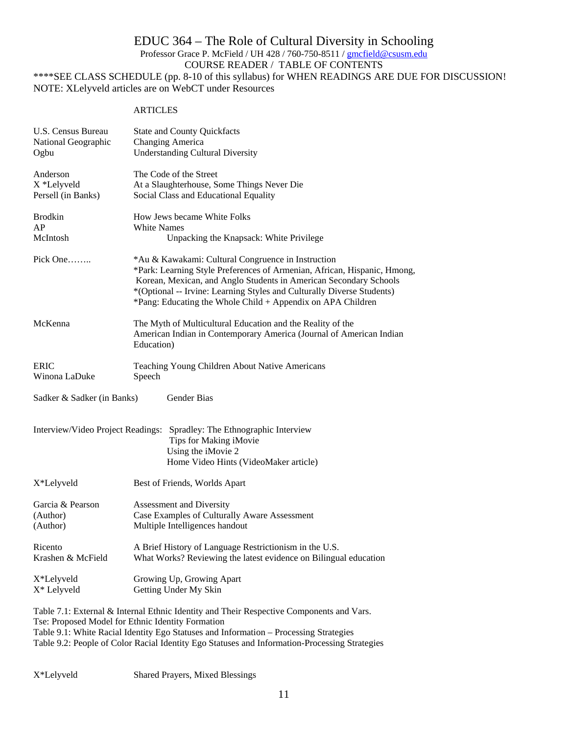# EDUC 364 – The Role of Cultural Diversity in Schooling Professor Grace P. McField / UH 428 / 760-750-8511 / gmcfield@csusm.edu COURSE READER / TABLE OF CONTENTS \*\*\*\*SEE CLASS SCHEDULE (pp. 8-10 of this syllabus) for WHEN READINGS ARE DUE FOR DISCUSSION!

NOTE: XLelyveld articles are on WebCT under Resources

# **ARTICLES**

| U.S. Census Bureau         | <b>State and County Quickfacts</b>                                                                                                                                                                                                                                                                                                           |
|----------------------------|----------------------------------------------------------------------------------------------------------------------------------------------------------------------------------------------------------------------------------------------------------------------------------------------------------------------------------------------|
| National Geographic        | Changing America                                                                                                                                                                                                                                                                                                                             |
| Ogbu                       | <b>Understanding Cultural Diversity</b>                                                                                                                                                                                                                                                                                                      |
| Anderson                   | The Code of the Street                                                                                                                                                                                                                                                                                                                       |
| X *Lelyveld                | At a Slaughterhouse, Some Things Never Die                                                                                                                                                                                                                                                                                                   |
| Persell (in Banks)         | Social Class and Educational Equality                                                                                                                                                                                                                                                                                                        |
| <b>Brodkin</b>             | How Jews became White Folks                                                                                                                                                                                                                                                                                                                  |
| AP                         | White Names                                                                                                                                                                                                                                                                                                                                  |
| McIntosh                   | Unpacking the Knapsack: White Privilege                                                                                                                                                                                                                                                                                                      |
| Pick One                   | *Au & Kawakami: Cultural Congruence in Instruction<br>*Park: Learning Style Preferences of Armenian, African, Hispanic, Hmong,<br>Korean, Mexican, and Anglo Students in American Secondary Schools<br>*(Optional -- Irvine: Learning Styles and Culturally Diverse Students)<br>*Pang: Educating the Whole Child + Appendix on APA Children |
| McKenna                    | The Myth of Multicultural Education and the Reality of the<br>American Indian in Contemporary America (Journal of American Indian<br>Education)                                                                                                                                                                                              |
| <b>ERIC</b>                | Teaching Young Children About Native Americans                                                                                                                                                                                                                                                                                               |
| Winona LaDuke              | Speech                                                                                                                                                                                                                                                                                                                                       |
| Sadker & Sadker (in Banks) | Gender Bias                                                                                                                                                                                                                                                                                                                                  |
|                            | Interview/Video Project Readings: Spradley: The Ethnographic Interview<br>Tips for Making iMovie<br>Using the iMovie 2<br>Home Video Hints (VideoMaker article)                                                                                                                                                                              |
| X*Lelyveld                 | Best of Friends, Worlds Apart                                                                                                                                                                                                                                                                                                                |
| Garcia & Pearson           | Assessment and Diversity                                                                                                                                                                                                                                                                                                                     |
| (Author)                   | Case Examples of Culturally Aware Assessment                                                                                                                                                                                                                                                                                                 |
| (Author)                   | Multiple Intelligences handout                                                                                                                                                                                                                                                                                                               |
| Ricento                    | A Brief History of Language Restrictionism in the U.S.                                                                                                                                                                                                                                                                                       |
| Krashen & McField          | What Works? Reviewing the latest evidence on Bilingual education                                                                                                                                                                                                                                                                             |
| X*Lelyveld                 | Growing Up, Growing Apart                                                                                                                                                                                                                                                                                                                    |
| X* Lelyveld                | Getting Under My Skin                                                                                                                                                                                                                                                                                                                        |
|                            | Table 7.1: External & Internal Ethnic Identity and Their Respective Components and Vars.                                                                                                                                                                                                                                                     |

Tse: Proposed Model for Ethnic Identity Formation Table 9.1: White Racial Identity Ego Statuses and Information – Processing Strategies Table 9.2: People of Color Racial Identity Ego Statuses and Information-Processing Strategies

X\*Lelyveld Shared Prayers, Mixed Blessings